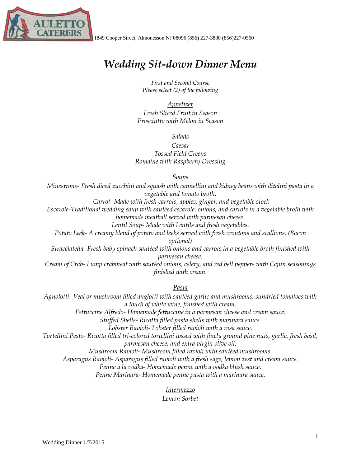

# *Wedding Sit-down Dinner Menu*

*First and Second Course Please select (2) of the following*

*Appetizer Fresh Sliced Fruit in Season Prosciutto with Melon in Season*

#### *Salads*

*Caesar Tossed Field Greens Romaine with Raspberry Dressing*

#### *Soups*

*Minestrone- Fresh diced zucchini and squash with cannellini and kidney beans with ditalini pasta in a vegetable and tomato broth.*

*Carrot- Made with fresh carrots, apples, ginger, and vegetable stock Escarole-Traditional wedding soup with sautéed escarole, onions, and carrots in a vegetable broth with homemade meatball served with parmesan cheese.* 

*Lentil Soup- Made with Lentils and fresh vegetables.*

*Potato Leek- A creamy blend of potato and leeks served with fresh croutons and scallions. (Bacon optional)*

*Stracciatella- Fresh baby spinach sautéed with onions and carrots in a vegetable broth finished with parmesan cheese.* 

*Cream of Crab- Lump crabmeat with sautéed onions, celery, and red bell peppers with Cajun seasonings finished with cream.* 

*Pasta*

*Agnolotti- Veal or mushroom filled anglotti with sautéed garlic and mushrooms, sundried tomatoes with a touch of white wine, finished with cream.*

*Fettuccine Alfredo- Homemade fettuccine in a parmesan cheese and cream sauce.* 

*Stuffed Shells- Ricotta filled pasta shells with marinara sauce.* 

*Lobster Ravioli- Lobster filled ravioli with a rosa sauce.*

*Tortellini Pesto- Ricotta filled tri-colored tortellini tossed with finely ground pine nuts, garlic, fresh basil, parmesan cheese, and extra virgin olive oil.*

*Mushroom Ravioli- Mushroom filled ravioli with sautéed mushrooms.* 

*Asparagus Ravioli- Asparagus filled ravioli with a fresh sage, lemon zest and cream sauce.* 

*Penne a la vodka- Homemade penne with a vodka blush sauce.* 

*Penne Marinara- Homemade penne pasta with a marinara sauce.*

#### *Intermezzo*

*Lemon Sorbet*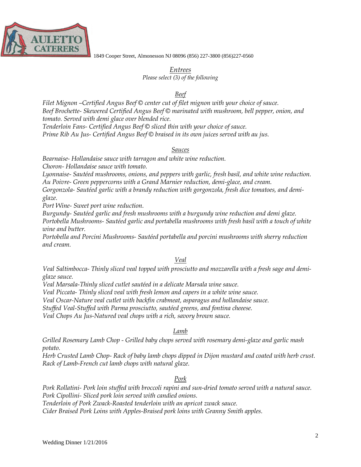

1849 Cooper Street, Almonesson NJ 08096 (856) 227-3800 (856)227-0560

*Entrees Please select (3) of the following*

#### *Beef*

*Filet Mignon –Certified Angus Beef © center cut of filet mignon with your choice of sauce. Beef Brochette- Skewered Certified Angus Beef © marinated with mushroom, bell pepper, onion, and tomato. Served with demi glace over blended rice.*

*Tenderloin Fans- Certified Angus Beef © sliced thin with your choice of sauce. Prime Rib Au Jus- Certified Angus Beef © braised in its own juices served with au jus.* 

#### *Sauces*

*Bearnaise- Hollandaise sauce with tarragon and white wine reduction. Choron- Hollandaise sauce with tomato.*

*Lyonnaise- Sautéed mushrooms, onions, and peppers with garlic, fresh basil, and white wine reduction. Au Poivre- Green peppercorns with a Grand Marnier reduction, demi-glace, and cream. Gorgonzola- Sautéed garlic with a brandy reduction with gorgonzola, fresh dice tomatoes, and demi-*

*glaze.*

*Port Wine- Sweet port wine reduction.*

*Burgundy- Sautéed garlic and fresh mushrooms with a burgundy wine reduction and demi glaze. Portobella Mushrooms- Sautéed garlic and portabella mushrooms with fresh basil with a touch of white wine and butter.* 

*Portobella and Porcini Mushrooms- Sautéed portabella and porcini mushrooms with sherry reduction and cream.* 

# *Veal*

*Veal Saltimbocca- Thinly sliced veal topped with prosciutto and mozzarella with a fresh sage and demiglaze sauce.* 

*Veal Marsala-Thinly sliced cutlet sautéed in a delicate Marsala wine sauce.*

*Veal Piccata- Thinly sliced veal with fresh lemon and capers in a white wine sauce.*

*Veal Oscar-Nature veal cutlet with backfin crabmeat, asparagus and hollandaise sauce.*

*Stuffed Veal-Stuffed with Parma prosciutto, sautéed greens, and fontina cheeese.*

*Veal Chops Au Jus-Natured veal chops with a rich, savory brown sauce.*

# *Lamb*

*Grilled Rosemary Lamb Chop - Grilled baby chops served with rosemary demi-glaze and garlic mash potato.*

*Herb Crusted Lamb Chop- Rack of baby lamb chops dipped in Dijon mustard and coated with herb crust. Rack of Lamb-French cut lamb chops with natural glaze.*

# *Pork*

*Pork Rollatini- Pork loin stuffed with broccoli rapini and sun-dried tomato served with a natural sauce. Pork Cipollini- Sliced pork loin served with candied onions. Tenderloin of Pork Zwack-Roasted tenderloin with an apricot zwack sauce. Cider Braised Pork Loins with Apples-Braised pork loins with Granny Smith apples.*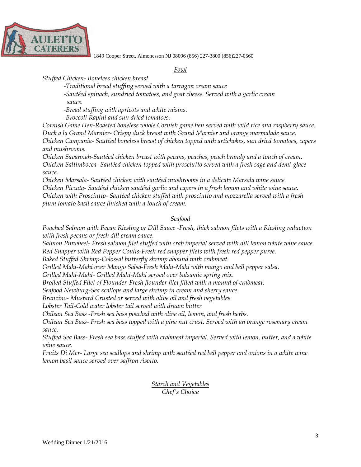

1849 Cooper Street, Almonesson NJ 08096 (856) 227-3800 (856)227-0560

#### *Fowl*

*Stuffed Chicken- Boneless chicken breast*

*-Traditional bread stuffing served with a tarragon cream sauce*

*-Sautéed spinach, sundried tomatoes, and goat cheese. Served with a garlic cream sauce.*

*-Bread stuffing with apricots and white raisins.*

*-Broccoli Rapini and sun dried tomatoes.*

*Cornish Game Hen-Roasted boneless whole Cornish game hen served with wild rice and raspberry sauce. Duck a la Grand Marnier- Crispy duck breast with Grand Marnier and orange marmalade sauce. Chicken Campania- Sautéed boneless breast of chicken topped with artichokes, sun dried tomatoes, capers and mushrooms.*

*Chicken Savannah-Sautéed chicken breast with pecans, peaches, peach brandy and a touch of cream. Chicken Saltimbocca- Sautéed chicken topped with prosciutto served with a fresh sage and demi-glace sauce.*

*Chicken Marsala- Sautéed chicken with sautéed mushrooms in a delicate Marsala wine sauce. Chicken Piccata- Sautéed chicken sautéed garlic and capers in a fresh lemon and white wine sauce. Chicken with Prosciutto- Sautéed chicken stuffed with prosciutto and mozzarella served with a fresh plum tomato basil sauce finished with a touch of cream.*

# *Seafood*

*Poached Salmon with Pecan Riesling or Dill Sauce -Fresh, thick salmon filets with a Riesling reduction with fresh pecans or fresh dill cream sauce.*

*Salmon Pinwheel- Fresh salmon filet stuffed with crab imperial served with dill lemon white wine sauce. Red Snapper with Red Pepper Coulis-Fresh red snapper filets with fresh red pepper puree.*

*Baked Stuffed Shrimp-Colossal butterfly shrimp abound with crabmeat.*

*Grilled Mahi-Mahi over Mango Salsa-Fresh Mahi-Mahi with mango and bell pepper salsa.*

*Grilled Mahi-Mahi- Grilled Mahi-Mahi served over balsamic spring mix.*

*Broiled Stuffed Filet of Flounder-Fresh flounder filet filled with a mound of crabmeat.*

*Seafood Newburg-Sea scallops and large shrimp in cream and sherry sauce.*

*Branzino- Mustard Crusted or served with olive oil and fresh vegetables*

*Lobster Tail-Cold water lobster tail served with drawn butter*

*Chilean Sea Bass -Fresh sea bass poached with olive oil, lemon, and fresh herbs.*

*Chilean Sea Bass- Fresh sea bass topped with a pine nut crust. Served with an orange rosemary cream sauce.* 

*Stuffed Sea Bass- Fresh sea bass stuffed with crabmeat imperial. Served with lemon, butter, and a white wine sauce.* 

*Fruits Di Mer- Large sea scallops and shrimp with sautéed red bell pepper and onions in a white wine lemon basil sauce served over saffron risotto.*

> *Starch and Vegetables Chef's Choice*